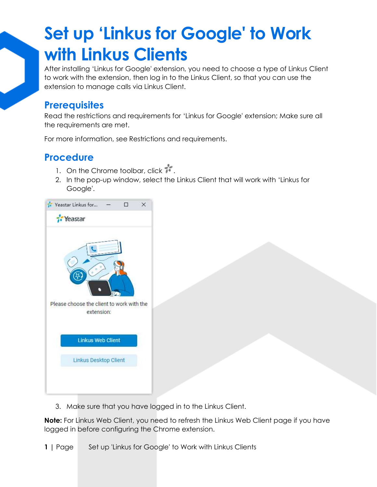## **Set up 'Linkus for Google' to Work with Linkus Clients**

After installing 'Linkus for Google' extension, you need to choose a type of Linkus Client to work with the extension, then log in to the Linkus Client, so that you can use the extension to manage calls via Linkus Client.

### **Prerequisites**

Read the restrictions and requirements for 'Linkus for Google' extension; Make sure all the requirements are met.

For more information, see [Restrictions and requirements.](https://help.yeastar.com/en/p-series-cloud-edition/yeastar-linkus-for-google-user-guide/yeastar-linkus-for-google-overview.html#yeastar-click-to-call-overview__section_ln4_4yt_kpb)

### **Procedure**

- 1. On the Chrome toolbar, click  $\overline{\mathbf{1}}$ .
- 2. In the pop-up window, select the Linkus Client that will work with 'Linkus for Google'.



3. Make sure that you have logged in to the Linkus Client.

**Note:** For Linkus Web Client, you need to refresh the Linkus Web Client page if you have logged in before configuring the Chrome extension.

**1** | Page Set up 'Linkus for Google' to Work with Linkus Clients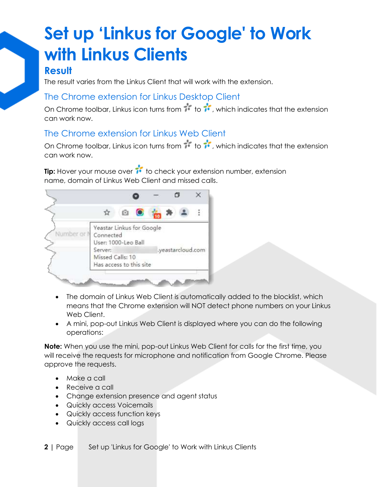# **Set up 'Linkus for Google' to Work with Linkus Clients**

## **Result**

The result varies from the Linkus Client that will work with the extension.

#### The Chrome extension for Linkus Desktop Client

On Chrome toolbar, Linkus icon turns from  $\mathbf{r}^*$  to  $\mathbf{r}^*$ , which indicates that the extension can work now.

#### The Chrome extension for Linkus Web Client

On Chrome toolbar, Linkus icon turns from  $\mathbf{r}^*$  to  $\mathbf{r}^*$ , which indicates that the extension can work now.

**Tip:** Hover your mouse over **i** to check your extension number, extension name, domain of Linkus Web Client and missed calls.



- The domain of Linkus Web Client is automatically added to the blocklist, which means that the Chrome extension will NOT detect phone numbers on your Linkus Web Client.
- A mini, pop-out Linkus Web Client is displayed where you can do the following operations:

**Note:** When you use the mini, pop-out Linkus Web Client for calls for the first time, you will receive the requests for microphone and notification from Google Chrome. Please approve the requests.

- Make a call
- Receive a call
- Change extension presence and agent status
- Quickly access Voicemails
- Quickly access function keys
- Quickly access call logs